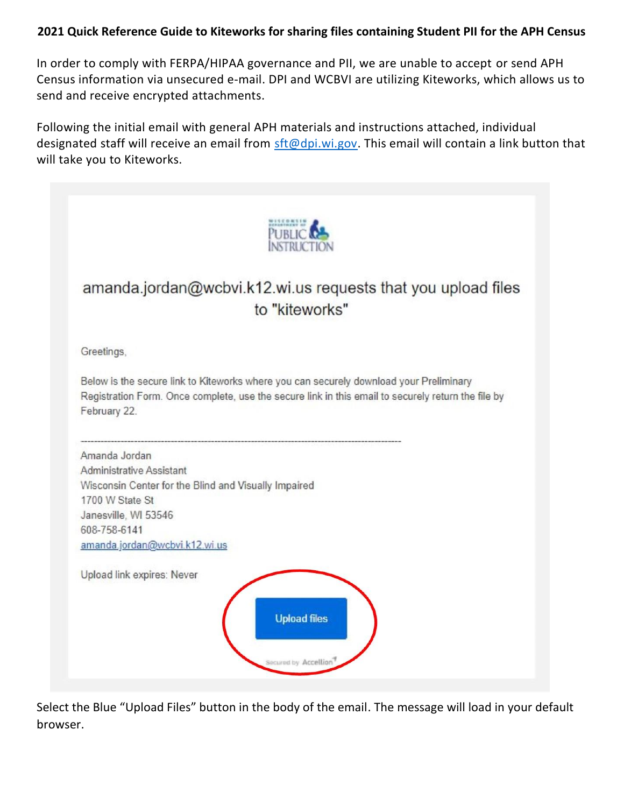## **2021 Quick Reference Guide to Kiteworks for sharing files containing Student PII for the APH Census**

In order to comply with FERPA/HIPAA governance and PII, we are unable to accept or send APH Census information via unsecured e-mail. DPI and WCBVI are utilizing Kiteworks, which allows us to send and receive encrypted attachments.

Following the initial email with general APH materials and instructions attached, individual designated staff will receive an email from [sft@dpi.wi.gov.](mailto:sft@dpi.wi.gov) This email will contain a link button that will take you to Kiteworks.



Select the Blue "Upload Files" button in the body of the email. The message will load in your default browser.